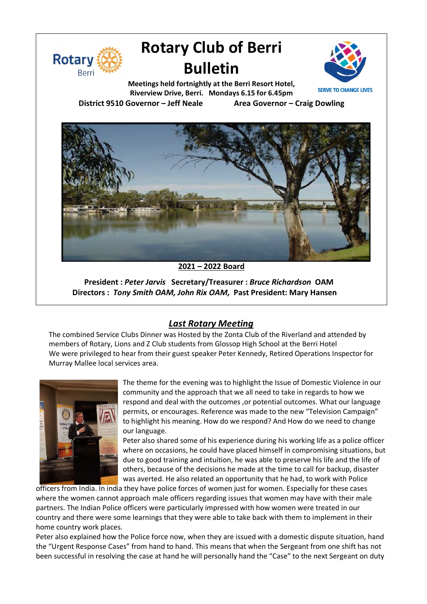

# **Rotary Club of Berri Bulletin**



**Meetings held fortnightly at the Berri Resort Hotel, Riverview Drive, Berri. Mondays 6.15 for 6.45pm District 9510 Governor – Jeff Neale Area Governor – Craig Dowling**



**2021 – 2022 Board**

**President :** *Peter Jarvis* **Secretary/Treasurer :** *Bruce Richardson* **OAM Directors :** *Tony Smith OAM, John Rix OAM,* **Past President: Mary Hansen**

## *Last Rotary Meeting*

The combined Service Clubs Dinner was Hosted by the Zonta Club of the Riverland and attended by members of Rotary, Lions and Z Club students from Glossop High School at the Berri Hotel We were privileged to hear from their guest speaker Peter Kennedy, Retired Operations Inspector for Murray Mallee local services area.



The theme for the evening was to highlight the Issue of Domestic Violence in our community and the approach that we all need to take in regards to how we respond and deal with the outcomes , or potential outcomes. What our language permits, or encourages. Reference was made to the new "Television Campaign" to highlight his meaning. How do we respond? And How do we need to change our language.

Peter also shared some of his experience during his working life as a police officer where on occasions, he could have placed himself in compromising situations, but due to good training and intuition, he was able to preserve his life and the life of others, because of the decisions he made at the time to call for backup, disaster was averted. He also related an opportunity that he had, to work with Police

officers from India. In india they have police forces of women just for women. Especially for these cases where the women cannot approach male officers regarding issues that women may have with their male partners. The Indian Police officers were particularly impressed with how women were treated in our country and there were some learnings that they were able to take back with them to implement in their home country work places.

Peter also explained how the Police force now, when they are issued with a domestic dispute situation, hand the "Urgent Response Cases" from hand to hand. This means that when the Sergeant from one shift has not been successful in resolving the case at hand he will personally hand the "Case" to the next Sergeant on duty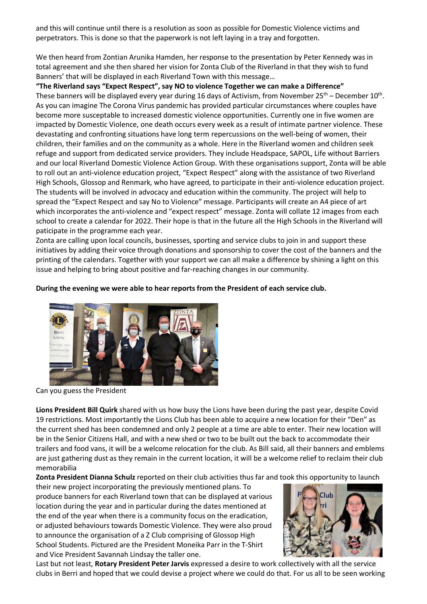and this will continue until there is a resolution as soon as possible for Domestic Violence victims and perpetrators. This is done so that the paperwork is not left laying in a tray and forgotten.

We then heard from Zontian Arunika Hamden, her response to the presentation by Peter Kennedy was in total agreement and she then shared her vision for Zonta Club of the Riverland in that they wish to fund Banners' that will be displayed in each Riverland Town with this message…

**"The Riverland says "Expect Respect", say NO to violence Together we can make a Difference"** These banners will be displayed every year during 16 days of Activism, from November  $25^{th}$  – December  $10^{th}$ . As you can imagine The Corona Virus pandemic has provided particular circumstances where couples have become more susceptable to increased domestic violence opportunities. Currently one in five women are impacted by Domestic Violence, one death occurs every week as a result of intimate partner violence. These devastating and confronting situations have long term repercussions on the well-being of women, their children, their families and on the community as a whole. Here in the Riverland women and children seek refuge and support from dedicated service providers. They include Headspace, SAPOL, Life without Barriers and our local Riverland Domestic Violence Action Group. With these organisations support, Zonta will be able to roll out an anti-violence education project, "Expect Respect" along with the assistance of two Riverland High Schools, Glossop and Renmark, who have agreed, to participate in their anti-violence education project. The students will be involved in advocacy and education within the community. The project will help to spread the "Expect Respect and say No to Violence" message. Participants will create an A4 piece of art which incorporates the anti-violence and "expect respect" message. Zonta will collate 12 images from each school to create a calendar for 2022. Their hope is that in the future all the High Schools in the Riverland will paticipate in the programme each year.

Zonta are calling upon local councils, businesses, sporting and service clubs to join in and support these initiatives by adding their voice through donations and sponsorship to cover the cost of the banners and the printing of the calendars. Together with your support we can all make a difference by shining a light on this issue and helping to bring about positive and far-reaching changes in our community.

#### **During the evening we were able to hear reports from the President of each service club.**



Can you guess the President

**Lions President Bill Quirk** shared with us how busy the Lions have been during the past year, despite Covid 19 restrictions. Most importantly the Lions Club has been able to acquire a new location for their "Den" as the current shed has been condemned and only 2 people at a time are able to enter. Their new location will be in the Senior Citizens Hall, and with a new shed or two to be built out the back to accommodate their trailers and food vans, it will be a welcome relocation for the club. As Bill said, all their banners and emblems are just gathering dust as they remain in the current location, it will be a welcome relief to reclaim their club memorabilia

**Zonta President Dianna Schulz** reported on their club activities thus far and took this opportunity to launch

their new project incorporating the previously mentioned plans. To produce banners for each Riverland town that can be displayed at various location during the year and in particular during the dates mentioned at the end of the year when there is a community focus on the eradication, or adjusted behaviours towards Domestic Violence. They were also proud to announce the organisation of a Z Club comprising of Glossop High School Students. Pictured are the President Moneika Parr in the T-Shirt and Vice President Savannah Lindsay the taller one.



Last but not least, **Rotary President Peter Jarvis** expressed a desire to work collectively with all the service clubs in Berri and hoped that we could devise a project where we could do that. For us all to be seen working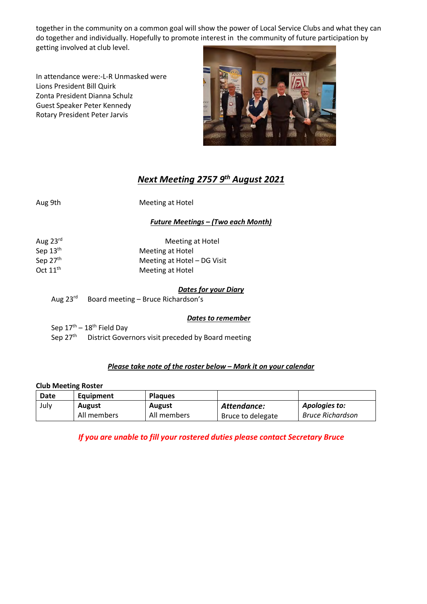together in the community on a common goal will show the power of Local Service Clubs and what they can do together and individually. Hopefully to promote interest in the community of future participation by getting involved at club level.

In attendance were:-L-R Unmasked were Lions President Bill Quirk Zonta President Dianna Schulz Guest Speaker Peter Kennedy Rotary President Peter Jarvis



# *Next Meeting 2757 9th August 2021*

Aug 9th Meeting at Hotel

## *Future Meetings – (Two each Month)*

| Aug $23^{\text{rd}}$ | Meeting at Hotel            |  |  |
|----------------------|-----------------------------|--|--|
| Sep 13th             | Meeting at Hotel            |  |  |
| Sep 27th             | Meeting at Hotel - DG Visit |  |  |
| Oct $11^{th}$        | Meeting at Hotel            |  |  |

## *Dates for your Diary*

Aug 23<sup>rd</sup> Board meeting – Bruce Richardson's

#### *Dates to remember*

Sep  $17<sup>th</sup> - 18<sup>th</sup>$  Field Day

Sep 27<sup>th</sup> District Governors visit preceded by Board meeting

#### *Please take note of the roster below – Mark it on your calendar*

#### **Club Meeting Roster**

| Date | Equipment     | <b>Plagues</b> |                   |                  |
|------|---------------|----------------|-------------------|------------------|
| July | <b>August</b> | <b>August</b>  | Attendance:       | Apologies to:    |
|      | All members   | All members    | Bruce to delegate | Bruce Richardson |

*If you are unable to fill your rostered duties please contact Secretary Bruce*